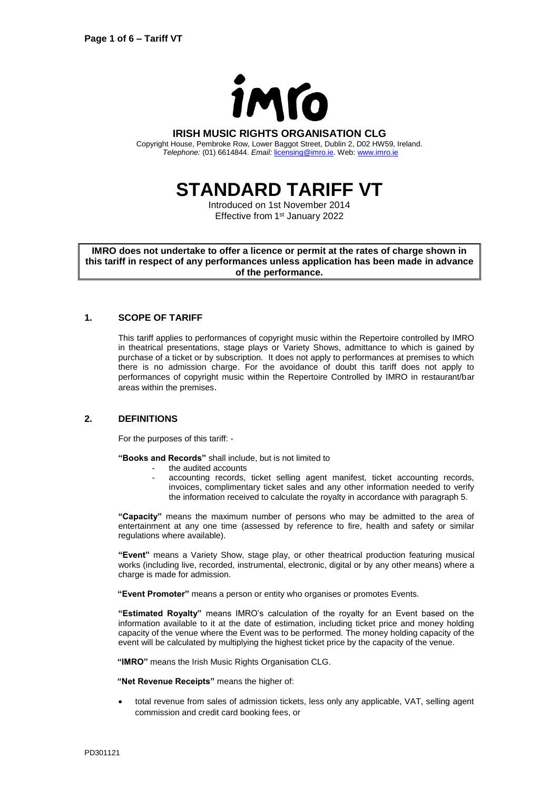

#### **IRISH MUSIC RIGHTS ORGANISATION CLG**

Copyright House, Pembroke Row, Lower Baggot Street, Dublin 2, D02 HW59, Ireland. *Telephone:* (01) 6614844. *Email:* [licensing@imro.ie.](mailto:licensing@imro.ie) Web[: www.imro.ie](http://www.imro.ie/)

# **STANDARD TARIFF VT**

Introduced on 1st November 2014 Effective from 1<sup>st</sup> January 2022

**IMRO does not undertake to offer a licence or permit at the rates of charge shown in this tariff in respect of any performances unless application has been made in advance of the performance.**

## **1. SCOPE OF TARIFF**

This tariff applies to performances of copyright music within the Repertoire controlled by IMRO in theatrical presentations, stage plays or Variety Shows, admittance to which is gained by purchase of a ticket or by subscription. It does not apply to performances at premises to which there is no admission charge. For the avoidance of doubt this tariff does not apply to performances of copyright music within the Repertoire Controlled by IMRO in restaurant/bar areas within the premises.

## **2. DEFINITIONS**

For the purposes of this tariff: -

**"Books and Records"** shall include, but is not limited to

- the audited accounts
- accounting records, ticket selling agent manifest, ticket accounting records, invoices, complimentary ticket sales and any other information needed to verify the information received to calculate the royalty in accordance with paragraph 5.

**"Capacity"** means the maximum number of persons who may be admitted to the area of entertainment at any one time (assessed by reference to fire, health and safety or similar regulations where available).

**"Event"** means a Variety Show, stage play, or other theatrical production featuring musical works (including live, recorded, instrumental, electronic, digital or by any other means) where a charge is made for admission.

**"Event Promoter"** means a person or entity who organises or promotes Events.

**"Estimated Royalty"** means IMRO's calculation of the royalty for an Event based on the information available to it at the date of estimation, including ticket price and money holding capacity of the venue where the Event was to be performed. The money holding capacity of the event will be calculated by multiplying the highest ticket price by the capacity of the venue.

**"IMRO"** means the Irish Music Rights Organisation CLG.

**"Net Revenue Receipts"** means the higher of:

• total revenue from sales of admission tickets, less only any applicable, VAT, selling agent commission and credit card booking fees, or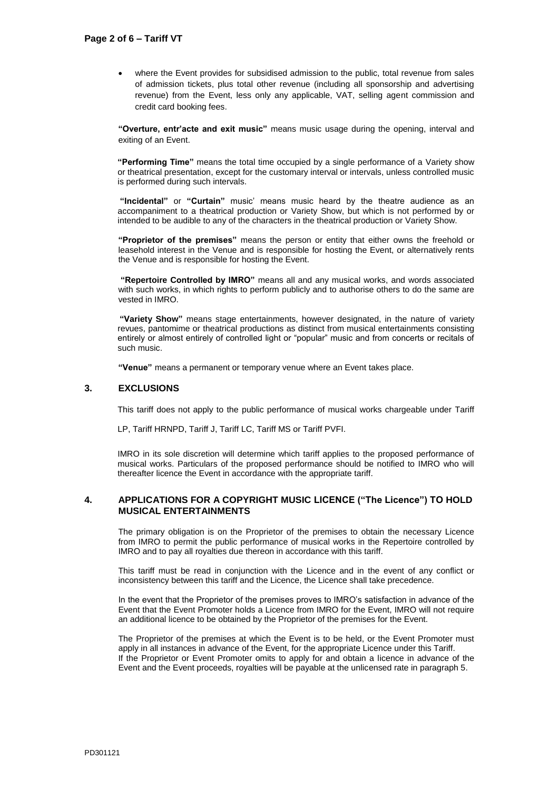• where the Event provides for subsidised admission to the public, total revenue from sales of admission tickets, plus total other revenue (including all sponsorship and advertising revenue) from the Event, less only any applicable, VAT, selling agent commission and credit card booking fees.

**"Overture, entr'acte and exit music"** means music usage during the opening, interval and exiting of an Event.

**"Performing Time"** means the total time occupied by a single performance of a Variety show or theatrical presentation, except for the customary interval or intervals, unless controlled music is performed during such intervals.

**"Incidental"** or **"Curtain"** music' means music heard by the theatre audience as an accompaniment to a theatrical production or Variety Show, but which is not performed by or intended to be audible to any of the characters in the theatrical production or Variety Show.

**"Proprietor of the premises"** means the person or entity that either owns the freehold or leasehold interest in the Venue and is responsible for hosting the Event, or alternatively rents the Venue and is responsible for hosting the Event.

**"Repertoire Controlled by IMRO"** means all and any musical works, and words associated with such works, in which rights to perform publicly and to authorise others to do the same are vested in IMRO.

 **"Variety Show"** means stage entertainments, however designated, in the nature of variety revues, pantomime or theatrical productions as distinct from musical entertainments consisting entirely or almost entirely of controlled light or "popular" music and from concerts or recitals of such music.

**"Venue"** means a permanent or temporary venue where an Event takes place.

## **3. EXCLUSIONS**

This tariff does not apply to the public performance of musical works chargeable under Tariff

LP, Tariff HRNPD, Tariff J, Tariff LC, Tariff MS or Tariff PVFI.

IMRO in its sole discretion will determine which tariff applies to the proposed performance of musical works. Particulars of the proposed performance should be notified to IMRO who will thereafter licence the Event in accordance with the appropriate tariff.

## **4. APPLICATIONS FOR A COPYRIGHT MUSIC LICENCE ("The Licence") TO HOLD MUSICAL ENTERTAINMENTS**

The primary obligation is on the Proprietor of the premises to obtain the necessary Licence from IMRO to permit the public performance of musical works in the Repertoire controlled by IMRO and to pay all royalties due thereon in accordance with this tariff.

This tariff must be read in conjunction with the Licence and in the event of any conflict or inconsistency between this tariff and the Licence, the Licence shall take precedence.

In the event that the Proprietor of the premises proves to IMRO's satisfaction in advance of the Event that the Event Promoter holds a Licence from IMRO for the Event, IMRO will not require an additional licence to be obtained by the Proprietor of the premises for the Event.

The Proprietor of the premises at which the Event is to be held, or the Event Promoter must apply in all instances in advance of the Event, for the appropriate Licence under this Tariff. If the Proprietor or Event Promoter omits to apply for and obtain a licence in advance of the Event and the Event proceeds, royalties will be payable at the unlicensed rate in paragraph 5.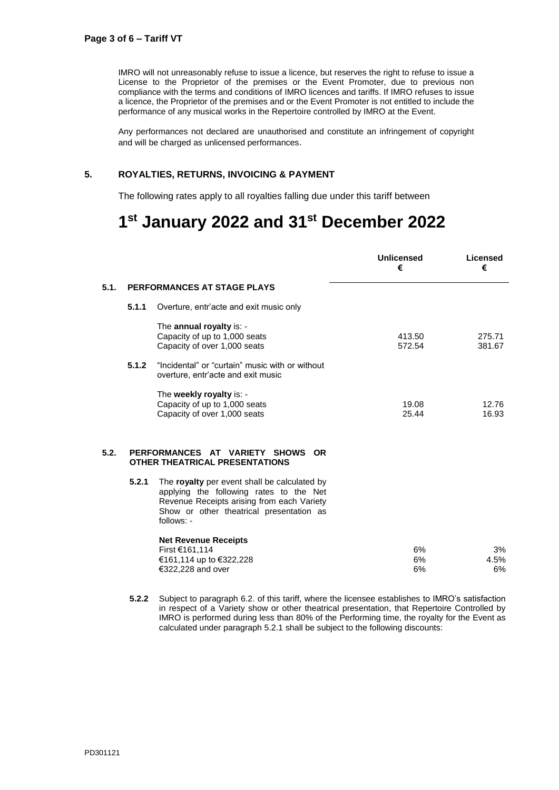IMRO will not unreasonably refuse to issue a licence, but reserves the right to refuse to issue a License to the Proprietor of the premises or the Event Promoter, due to previous non compliance with the terms and conditions of IMRO licences and tariffs. If IMRO refuses to issue a licence, the Proprietor of the premises and or the Event Promoter is not entitled to include the performance of any musical works in the Repertoire controlled by IMRO at the Event.

Any performances not declared are unauthorised and constitute an infringement of copyright and will be charged as unlicensed performances.

## **5. ROYALTIES, RETURNS, INVOICING & PAYMENT**

The following rates apply to all royalties falling due under this tariff between

## **1 st January 2022 and 31 st December 2022**

|      |                             |                                                                                                                                                                                                 | <b>Unlicensed</b><br>€ | Licensed<br>€    |
|------|-----------------------------|-------------------------------------------------------------------------------------------------------------------------------------------------------------------------------------------------|------------------------|------------------|
| 5.1. | PERFORMANCES AT STAGE PLAYS |                                                                                                                                                                                                 |                        |                  |
|      | 5.1.1                       | Overture, entr'acte and exit music only                                                                                                                                                         |                        |                  |
|      | 5.1.2                       | The annual royalty is: -<br>Capacity of up to 1,000 seats<br>Capacity of over 1,000 seats<br>"Incidental" or "curtain" music with or without                                                    | 413.50<br>572.54       | 275.71<br>381.67 |
|      |                             | overture, entr'acte and exit music<br>The weekly royalty is: -<br>Capacity of up to 1,000 seats<br>Capacity of over 1,000 seats                                                                 | 19.08<br>25.44         | 12.76<br>16.93   |
| 5.2. |                             | PERFORMANCES AT VARIETY SHOWS<br><b>OR</b><br><b>OTHER THEATRICAL PRESENTATIONS</b>                                                                                                             |                        |                  |
|      | 5.2.1                       | The royalty per event shall be calculated by<br>applying the following rates to the Net<br>Revenue Receipts arising from each Variety<br>Show or other theatrical presentation as<br>follows: - |                        |                  |
|      |                             | <b>Net Revenue Receipts</b><br>First €161,114<br>€161,114 up to €322,228<br>€322,228 and over                                                                                                   | 6%<br>6%<br>6%         | 3%<br>4.5%<br>6% |

**5.2.2** Subject to paragraph 6.2. of this tariff, where the licensee establishes to IMRO's satisfaction in respect of a Variety show or other theatrical presentation, that Repertoire Controlled by IMRO is performed during less than 80% of the Performing time, the royalty for the Event as calculated under paragraph 5.2.1 shall be subject to the following discounts: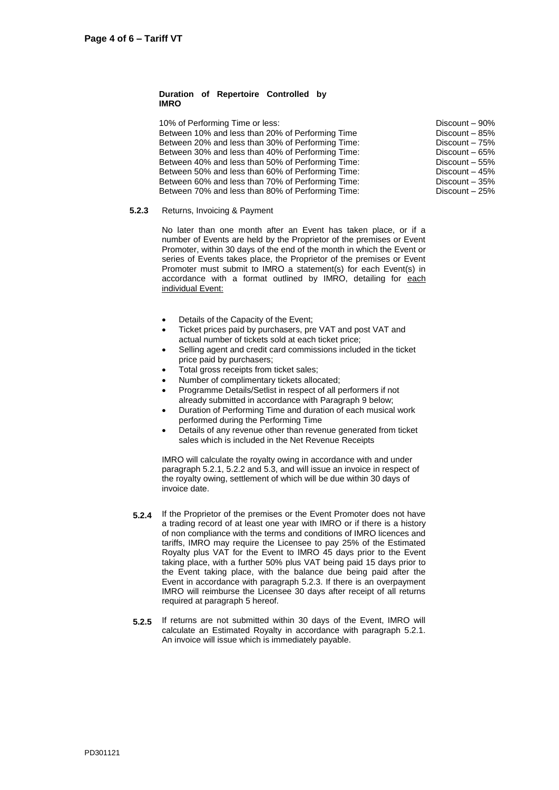#### **Duration of Repertoire Controlled by IMRO**

10% of Performing Time or less: Between 10% and less than 20% of Performing Time Between 20% and less than 30% of Performing Time: Between 30% and less than 40% of Performing Time: Between 40% and less than 50% of Performing Time: Between 50% and less than 60% of Performing Time: Between 60% and less than 70% of Performing Time: Between 70% and less than 80% of Performing Time:

Discount – 90% Discount – 85% Discount – 75% Discount – 65% Discount – 55% Discount – 45% Discount – 35% Discount – 25%

#### **5.2.3** Returns, Invoicing & Payment

No later than one month after an Event has taken place, or if a number of Events are held by the Proprietor of the premises or Event Promoter, within 30 days of the end of the month in which the Event or series of Events takes place, the Proprietor of the premises or Event Promoter must submit to IMRO a statement(s) for each Event(s) in accordance with a format outlined by IMRO, detailing for each individual Event:

- Details of the Capacity of the Event;
- Ticket prices paid by purchasers, pre VAT and post VAT and actual number of tickets sold at each ticket price;
- Selling agent and credit card commissions included in the ticket price paid by purchasers;
- Total gross receipts from ticket sales;
- Number of complimentary tickets allocated;
- Programme Details/Setlist in respect of all performers if not already submitted in accordance with Paragraph 9 below;
- Duration of Performing Time and duration of each musical work performed during the Performing Time
- Details of any revenue other than revenue generated from ticket sales which is included in the Net Revenue Receipts

IMRO will calculate the royalty owing in accordance with and under paragraph 5.2.1, 5.2.2 and 5.3, and will issue an invoice in respect of the royalty owing, settlement of which will be due within 30 days of invoice date.

- **5.2.4** If the Proprietor of the premises or the Event Promoter does not have a trading record of at least one year with IMRO or if there is a history of non compliance with the terms and conditions of IMRO licences and tariffs, IMRO may require the Licensee to pay 25% of the Estimated Royalty plus VAT for the Event to IMRO 45 days prior to the Event taking place, with a further 50% plus VAT being paid 15 days prior to the Event taking place, with the balance due being paid after the Event in accordance with paragraph 5.2.3. If there is an overpayment IMRO will reimburse the Licensee 30 days after receipt of all returns required at paragraph 5 hereof.
- **5.2.5** If returns are not submitted within 30 days of the Event, IMRO will calculate an Estimated Royalty in accordance with paragraph 5.2.1. An invoice will issue which is immediately payable.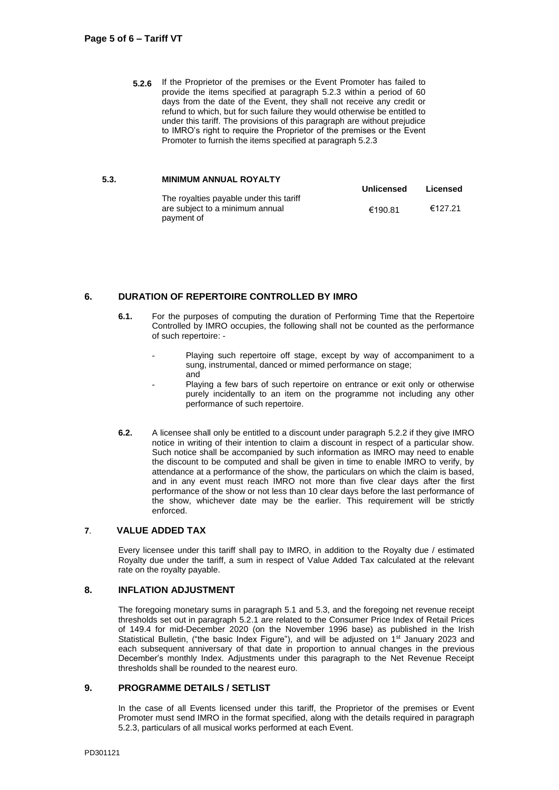**5.2.6** If the Proprietor of the premises or the Event Promoter has failed to provide the items specified at paragraph 5.2.3 within a period of 60 days from the date of the Event, they shall not receive any credit or refund to which, but for such failure they would otherwise be entitled to under this tariff. The provisions of this paragraph are without prejudice to IMRO's right to require the Proprietor of the premises or the Event Promoter to furnish the items specified at paragraph 5.2.3

#### **5.3. MINIMUM ANNUAL ROYALTY**

|                                         | Unlicensed | Licensed |
|-----------------------------------------|------------|----------|
| The royalties payable under this tariff |            |          |
| are subject to a minimum annual         | €190.81    | €127.21  |
| payment of                              |            |          |

## **6. DURATION OF REPERTOIRE CONTROLLED BY IMRO**

- **6.1.** For the purposes of computing the duration of Performing Time that the Repertoire Controlled by IMRO occupies, the following shall not be counted as the performance of such repertoire: -
	- Playing such repertoire off stage, except by way of accompaniment to a sung, instrumental, danced or mimed performance on stage; and
	- Playing a few bars of such repertoire on entrance or exit only or otherwise purely incidentally to an item on the programme not including any other performance of such repertoire.
- **6.2.** A licensee shall only be entitled to a discount under paragraph 5.2.2 if they give IMRO notice in writing of their intention to claim a discount in respect of a particular show. Such notice shall be accompanied by such information as IMRO may need to enable the discount to be computed and shall be given in time to enable IMRO to verify, by attendance at a performance of the show, the particulars on which the claim is based, and in any event must reach IMRO not more than five clear days after the first performance of the show or not less than 10 clear days before the last performance of the show, whichever date may be the earlier. This requirement will be strictly enforced.

## **7**. **VALUE ADDED TAX**

Every licensee under this tariff shall pay to IMRO, in addition to the Royalty due / estimated Royalty due under the tariff, a sum in respect of Value Added Tax calculated at the relevant rate on the royalty payable.

## **8. INFLATION ADJUSTMENT**

The foregoing monetary sums in paragraph 5.1 and 5.3, and the foregoing net revenue receipt thresholds set out in paragraph 5.2.1 are related to the Consumer Price Index of Retail Prices of 149.4 for mid-December 2020 (on the November 1996 base) as published in the Irish Statistical Bulletin, ("the basic Index Figure"), and will be adjusted on  $1<sup>st</sup>$  January 2023 and each subsequent anniversary of that date in proportion to annual changes in the previous December's monthly Index. Adjustments under this paragraph to the Net Revenue Receipt thresholds shall be rounded to the nearest euro.

## **9. PROGRAMME DETAILS / SETLIST**

In the case of all Events licensed under this tariff, the Proprietor of the premises or Event Promoter must send IMRO in the format specified, along with the details required in paragraph 5.2.3, particulars of all musical works performed at each Event.